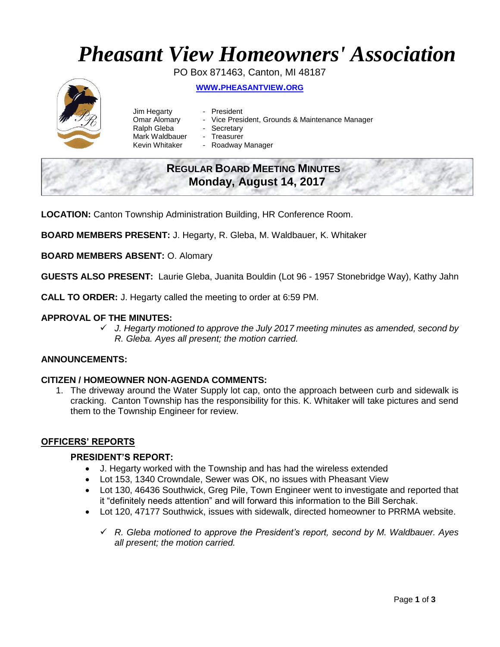# *Pheasant View Homeowners' Association*

PO Box 871463, Canton, MI 48187 **WWW.[PHEASANTVIEW](http://www.pheasantview.org/).ORG**

- Jim Hegarty President Omar Alomary - Vice President, Grounds & Maintenance Manager Ralph Gleba - Secretary
	-
- Mark Waldbauer Treasurer
- Kevin Whitaker Roadway Manager

## **REGULAR BOARD MEETING MINUTES Monday, August 14, 2017**

**LOCATION:** Canton Township Administration Building, HR Conference Room.

**BOARD MEMBERS PRESENT:** J. Hegarty, R. Gleba, M. Waldbauer, K. Whitaker

**BOARD MEMBERS ABSENT:** O. Alomary

**GUESTS ALSO PRESENT:** Laurie Gleba, Juanita Bouldin (Lot 96 - 1957 Stonebridge Way), Kathy Jahn

**CALL TO ORDER:** J. Hegarty called the meeting to order at 6:59 PM.

#### **APPROVAL OF THE MINUTES:**

✓ *J. Hegarty motioned to approve the July 2017 meeting minutes as amended, second by R. Gleba. Ayes all present; the motion carried.* 

### **ANNOUNCEMENTS:**

#### **CITIZEN / HOMEOWNER NON-AGENDA COMMENTS:**

1. The driveway around the Water Supply lot cap, onto the approach between curb and sidewalk is cracking. Canton Township has the responsibility for this. K. Whitaker will take pictures and send them to the Township Engineer for review.

#### **OFFICERS' REPORTS**

#### **PRESIDENT'S REPORT:**

- J. Hegarty worked with the Township and has had the wireless extended
- Lot 153, 1340 Crowndale, Sewer was OK, no issues with Pheasant View
- Lot 130, 46436 Southwick, Greg Pile, Town Engineer went to investigate and reported that it "definitely needs attention" and will forward this information to the Bill Serchak.
- Lot 120, 47177 Southwick, issues with sidewalk, directed homeowner to PRRMA website.
	- ✓ *R. Gleba motioned to approve the President's report, second by M. Waldbauer. Ayes all present; the motion carried.*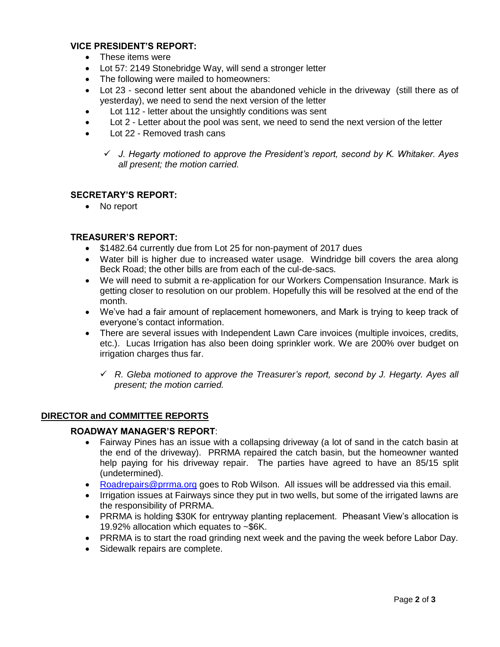#### **VICE PRESIDENT'S REPORT:**

- These items were
- Lot 57: 2149 Stonebridge Way, will send a stronger letter
- The following were mailed to homeowners:
- Lot 23 second letter sent about the abandoned vehicle in the driveway (still there as of yesterday), we need to send the next version of the letter
- Lot 112 letter about the unsightly conditions was sent
- Lot 2 Letter about the pool was sent, we need to send the next version of the letter
- Lot 22 Removed trash cans

#### **SECRETARY'S REPORT:**

• No report

#### **TREASURER'S REPORT:**

- \$1482.64 currently due from Lot 25 for non-payment of 2017 dues
- Water bill is higher due to increased water usage. Windridge bill covers the area along Beck Road; the other bills are from each of the cul-de-sacs.
- We will need to submit a re-application for our Workers Compensation Insurance. Mark is getting closer to resolution on our problem. Hopefully this will be resolved at the end of the month.
- We've had a fair amount of replacement homewoners, and Mark is trying to keep track of everyone's contact information.
- There are several issues with Independent Lawn Care invoices (multiple invoices, credits, etc.). Lucas Irrigation has also been doing sprinkler work. We are 200% over budget on irrigation charges thus far.
	- ✓ *R. Gleba motioned to approve the Treasurer's report, second by J. Hegarty. Ayes all present; the motion carried.*

#### **DIRECTOR and COMMITTEE REPORTS**

#### **ROADWAY MANAGER'S REPORT**:

- Fairway Pines has an issue with a collapsing driveway (a lot of sand in the catch basin at the end of the driveway). PRRMA repaired the catch basin, but the homeowner wanted help paying for his driveway repair. The parties have agreed to have an 85/15 split (undetermined).
- [Roadrepairs@prrma.org](mailto:Roadrepairs@prrma.org) goes to Rob Wilson. All issues will be addressed via this email.
- Irrigation issues at Fairways since they put in two wells, but some of the irrigated lawns are the responsibility of PRRMA.
- PRRMA is holding \$30K for entryway planting replacement. Pheasant View's allocation is 19.92% allocation which equates to ~\$6K.
- PRRMA is to start the road grinding next week and the paving the week before Labor Day.
- Sidewalk repairs are complete.

<sup>✓</sup> *J. Hegarty motioned to approve the President's report, second by K. Whitaker. Ayes all present; the motion carried.*